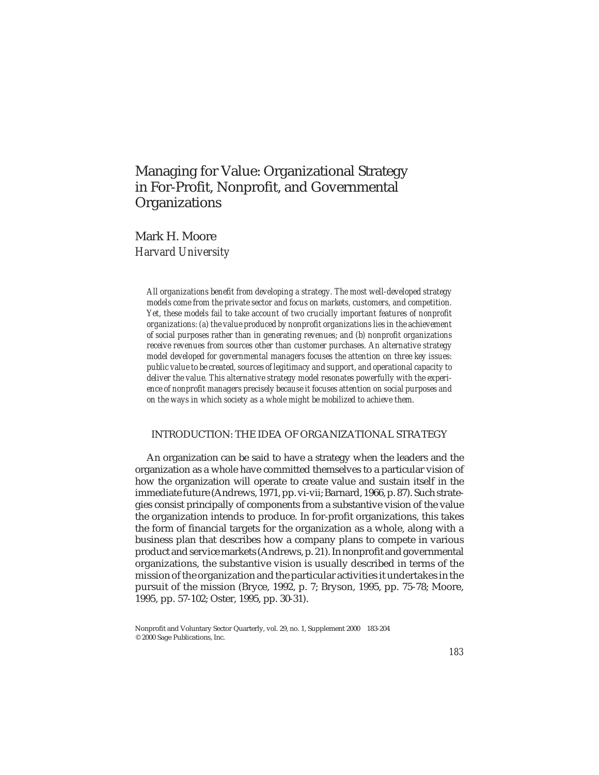# Managing for Value: Organizational Strategy in For-Profit, Nonprofit, and Governmental **Organizations**

Mark H. Moore *Harvard University*

> *All organizations benefit from developing a strategy. The most well-developed strategy models come from the private sector and focus on markets, customers, and competition. Yet, these models fail to take account of two crucially important features of nonprofit organizations: (a) the value produced by nonprofit organizations lies in the achievement of social purposes rather than in generating revenues; and (b) nonprofit organizations receive revenues from sources other than customer purchases. An alternative strategy model developed for governmental managers focuses the attention on three key issues: public value to be created, sources of legitimacy and support, and operational capacity to deliver the value. This alternative strategy model resonates powerfully with the experience of nonprofit managers precisely because it focuses attention on social purposes and on the ways in which society as a whole might be mobilized to achieve them.*

# INTRODUCTION: THE IDEA OF ORGANIZATIONAL STRATEGY

An organization can be said to have a strategy when the leaders and the organization as a whole have committed themselves to a particular vision of how the organization will operate to create value and sustain itself in the immediate future (Andrews, 1971, pp. vi-vii; Barnard, 1966, p. 87). Such strategies consist principally of components from a substantive vision of the value the organization intends to produce. In for-profit organizations, this takes the form of financial targets for the organization as a whole, along with a business plan that describes how a company plans to compete in various product and service markets (Andrews, p. 21). In nonprofit and governmental organizations, the substantive vision is usually described in terms of the mission of the organization and the particular activities it undertakes in the pursuit of the mission (Bryce, 1992, p. 7; Bryson, 1995, pp. 75-78; Moore, 1995, pp. 57-102; Oster, 1995, pp. 30-31).

Nonprofit and Voluntary Sector Quarterly, vol. 29, no. 1, Supplement 2000 183-204 © 2000 Sage Publications, Inc.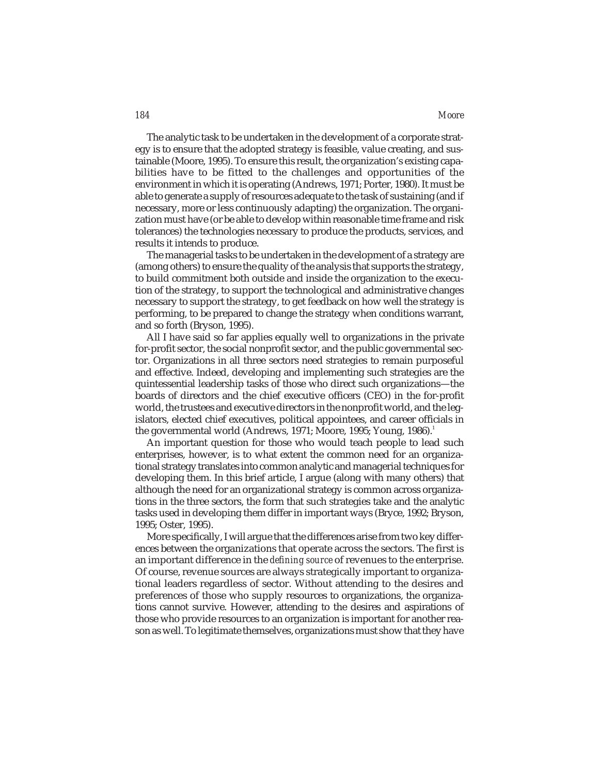### *184 Moore*

The analytic task to be undertaken in the development of a corporate strategy is to ensure that the adopted strategy is feasible, value creating, and sustainable (Moore, 1995). To ensure this result, the organization's existing capabilities have to be fitted to the challenges and opportunities of the environment in which it is operating (Andrews, 1971; Porter, 1980). It must be able to generate a supply of resources adequate to the task of sustaining (and if necessary, more or less continuously adapting) the organization. The organization must have (or be able to develop within reasonable time frame and risk tolerances) the technologies necessary to produce the products, services, and results it intends to produce.

The managerial tasks to be undertaken in the development of a strategy are (among others) to ensure the quality of the analysis that supports the strategy, to build commitment both outside and inside the organization to the execution of the strategy, to support the technological and administrative changes necessary to support the strategy, to get feedback on how well the strategy is performing, to be prepared to change the strategy when conditions warrant, and so forth (Bryson, 1995).

All I have said so far applies equally well to organizations in the private for-profit sector, the social nonprofit sector, and the public governmental sector. Organizations in all three sectors need strategies to remain purposeful and effective. Indeed, developing and implementing such strategies are the quintessential leadership tasks of those who direct such organizations—the boards of directors and the chief executive officers (CEO) in the for-profit world, the trustees and executive directors in the nonprofit world, and the legislators, elected chief executives, political appointees, and career officials in the governmental world (Andrews, 1971; Moore, 1995; Young, 1986).<sup>1</sup>

An important question for those who would teach people to lead such enterprises, however, is to what extent the common need for an organizational strategy translates into common analytic and managerial techniques for developing them. In this brief article, I argue (along with many others) that although the need for an organizational strategy is common across organizations in the three sectors, the form that such strategies take and the analytic tasks used in developing them differ in important ways (Bryce, 1992; Bryson, 1995; Oster, 1995).

More specifically, I will argue that the differences arise from two key differences between the organizations that operate across the sectors. The first is an important difference in the *defining source* of revenues to the enterprise. Of course, revenue sources are always strategically important to organizational leaders regardless of sector. Without attending to the desires and preferences of those who supply resources to organizations, the organizations cannot survive. However, attending to the desires and aspirations of those who provide resources to an organization is important for another reason as well. To legitimate themselves, organizations must show that they have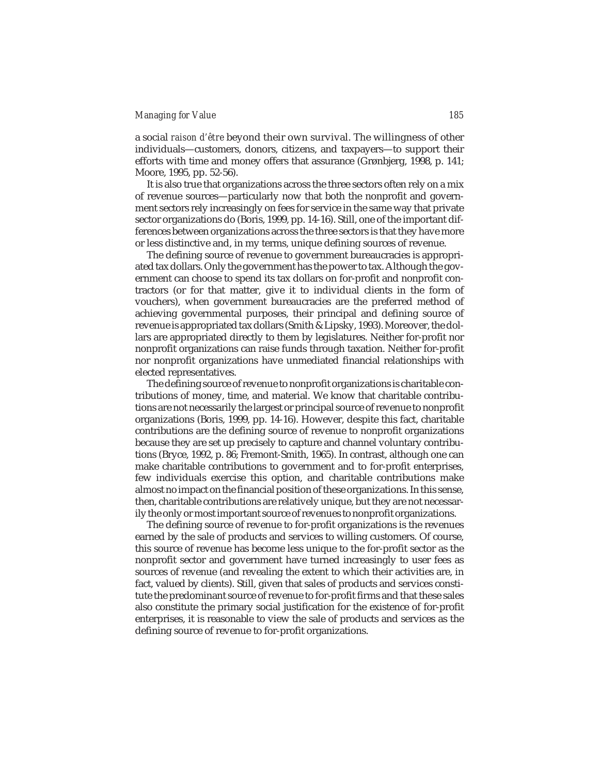a social *raison d'être* beyond their own survival. The willingness of other individuals—customers, donors, citizens, and taxpayers—to support their efforts with time and money offers that assurance (Grønbjerg, 1998, p. 141; Moore, 1995, pp. 52-56).

It is also true that organizations across the three sectors often rely on a mix of revenue sources—particularly now that both the nonprofit and government sectors rely increasingly on fees for service in the same way that private sector organizations do (Boris, 1999, pp. 14-16). Still, one of the important differences between organizations across the three sectors is that they have more or less distinctive and, in my terms, unique defining sources of revenue.

The defining source of revenue to government bureaucracies is appropriated tax dollars. Only the government has the power to tax. Although the government can choose to spend its tax dollars on for-profit and nonprofit contractors (or for that matter, give it to individual clients in the form of vouchers), when government bureaucracies are the preferred method of achieving governmental purposes, their principal and defining source of revenue is appropriated tax dollars (Smith & Lipsky, 1993). Moreover, the dollars are appropriated directly to them by legislatures. Neither for-profit nor nonprofit organizations can raise funds through taxation. Neither for-profit nor nonprofit organizations have unmediated financial relationships with elected representatives.

The defining source of revenue to nonprofit organizations is charitable contributions of money, time, and material. We know that charitable contributions are not necessarily the largest or principal source of revenue to nonprofit organizations (Boris, 1999, pp. 14-16). However, despite this fact, charitable contributions are the defining source of revenue to nonprofit organizations because they are set up precisely to capture and channel voluntary contributions (Bryce, 1992, p. 86; Fremont-Smith, 1965). In contrast, although one can make charitable contributions to government and to for-profit enterprises, few individuals exercise this option, and charitable contributions make almost no impact on the financial position of these organizations. In this sense, then, charitable contributions are relatively unique, but they are not necessarily the only or most important source of revenues to nonprofit organizations.

The defining source of revenue to for-profit organizations is the revenues earned by the sale of products and services to willing customers. Of course, this source of revenue has become less unique to the for-profit sector as the nonprofit sector and government have turned increasingly to user fees as sources of revenue (and revealing the extent to which their activities are, in fact, valued by clients). Still, given that sales of products and services constitute the predominant source of revenue to for-profit firms and that these sales also constitute the primary social justification for the existence of for-profit enterprises, it is reasonable to view the sale of products and services as the defining source of revenue to for-profit organizations.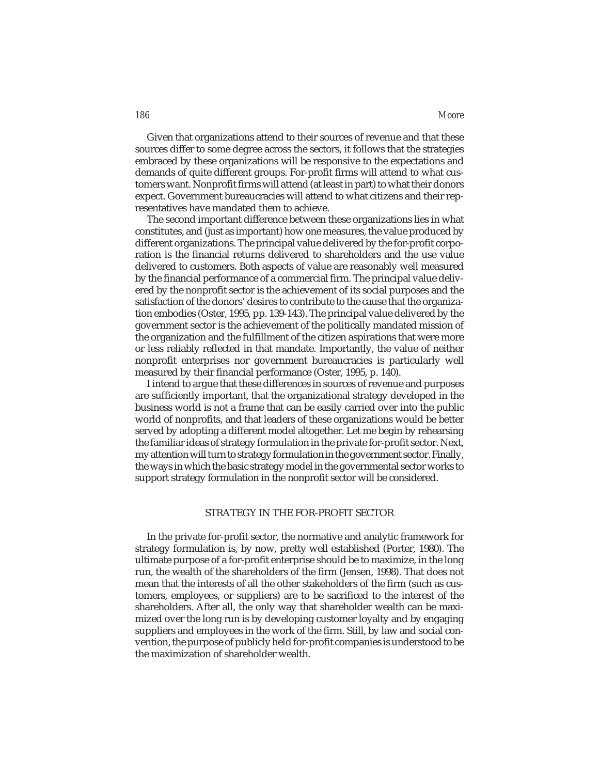### *186 Moore*

Given that organizations attend to their sources of revenue and that these sources differ to some degree across the sectors, it follows that the strategies embraced by these organizations will be responsive to the expectations and demands of quite different groups. For-profit firms will attend to what customers want. Nonprofit firms will attend (at least in part) to what their donors expect. Government bureaucracies will attend to what citizens and their representatives have mandated them to achieve.

The second important difference between these organizations lies in what constitutes, and (just as important) how one measures, the value produced by different organizations. The principal value delivered by the for-profit corporation is the financial returns delivered to shareholders and the use value delivered to customers. Both aspects of value are reasonably well measured by the financial performance of a commercial firm. The principal value delivered by the nonprofit sector is the achievement of its social purposes and the satisfaction of the donors' desires to contribute to the cause that the organization embodies (Oster, 1995, pp. 139-143). The principal value delivered by the government sector is the achievement of the politically mandated mission of the organization and the fulfillment of the citizen aspirations that were more or less reliably reflected in that mandate. Importantly, the value of neither nonprofit enterprises nor government bureaucracies is particularly well measured by their financial performance (Oster, 1995, p. 140).

I intend to argue that these differences in sources of revenue and purposes are sufficiently important, that the organizational strategy developed in the business world is not a frame that can be easily carried over into the public world of nonprofits, and that leaders of these organizations would be better served by adopting a different model altogether. Let me begin by rehearsing the familiar ideas of strategy formulation in the private for-profit sector. Next, my attention will turn to strategy formulation in the government sector. Finally, the ways in which the basic strategy model in the governmental sector works to support strategy formulation in the nonprofit sector will be considered.

# STRATEGY IN THE FOR-PROFIT SECTOR

In the private for-profit sector, the normative and analytic framework for strategy formulation is, by now, pretty well established (Porter, 1980). The ultimate purpose of a for-profit enterprise should be to maximize, in the long run, the wealth of the shareholders of the firm (Jensen, 1998). That does not mean that the interests of all the other stakeholders of the firm (such as customers, employees, or suppliers) are to be sacrificed to the interest of the shareholders. After all, the only way that shareholder wealth can be maximized over the long run is by developing customer loyalty and by engaging suppliers and employees in the work of the firm. Still, by law and social convention, the purpose of publicly held for-profit companies is understood to be the maximization of shareholder wealth.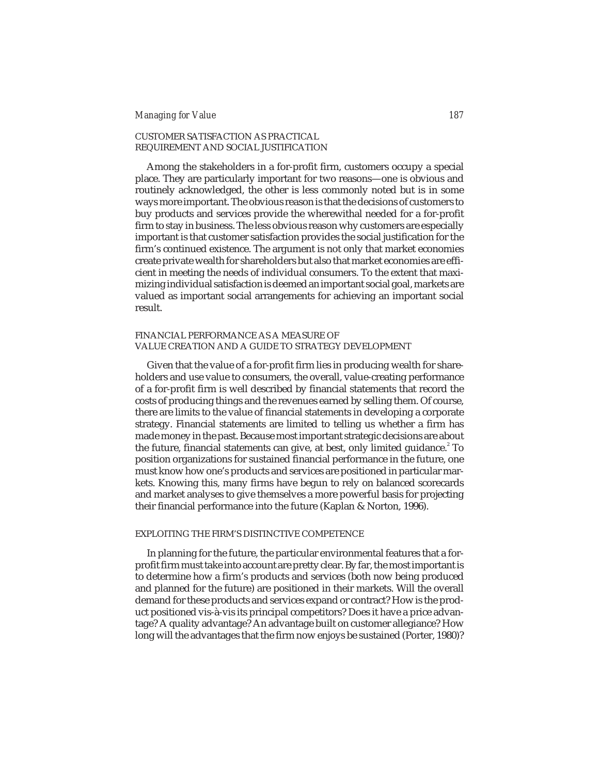# CUSTOMER SATISFACTION AS PRACTICAL REQUIREMENT AND SOCIAL JUSTIFICATION

Among the stakeholders in a for-profit firm, customers occupy a special place. They are particularly important for two reasons—one is obvious and routinely acknowledged, the other is less commonly noted but is in some ways more important. The obvious reason is that the decisions of customers to buy products and services provide the wherewithal needed for a for-profit firm to stay in business. The less obvious reason why customers are especially important is that customer satisfaction provides the social justification for the firm's continued existence. The argument is not only that market economies create private wealth for shareholders but also that market economies are efficient in meeting the needs of individual consumers. To the extent that maximizing individual satisfaction is deemed an important social goal, markets are valued as important social arrangements for achieving an important social result.

# FINANCIAL PERFORMANCE AS A MEASURE OF VALUE CREATION AND A GUIDE TO STRATEGY DEVELOPMENT

Given that the value of a for-profit firm lies in producing wealth for shareholders and use value to consumers, the overall, value-creating performance of a for-profit firm is well described by financial statements that record the costs of producing things and the revenues earned by selling them. Of course, there are limits to the value of financial statements in developing a corporate strategy. Financial statements are limited to telling us whether a firm has made money in the past. Because most important strategic decisions are about the future, financial statements can give, at best, only limited guidance. $^{\text{z}}$  To position organizations for sustained financial performance in the future, one must know how one's products and services are positioned in particular markets. Knowing this, many firms have begun to rely on balanced scorecards and market analyses to give themselves a more powerful basis for projecting their financial performance into the future (Kaplan & Norton, 1996).

# EXPLOITING THE FIRM'S DISTINCTIVE COMPETENCE

In planning for the future, the particular environmental features that a forprofit firm must take into account are pretty clear. By far, the most important is to determine how a firm's products and services (both now being produced and planned for the future) are positioned in their markets. Will the overall demand for these products and services expand or contract? How is the product positioned vis-à-vis its principal competitors? Does it have a price advantage? A quality advantage? An advantage built on customer allegiance? How long will the advantages that the firm now enjoys be sustained (Porter, 1980)?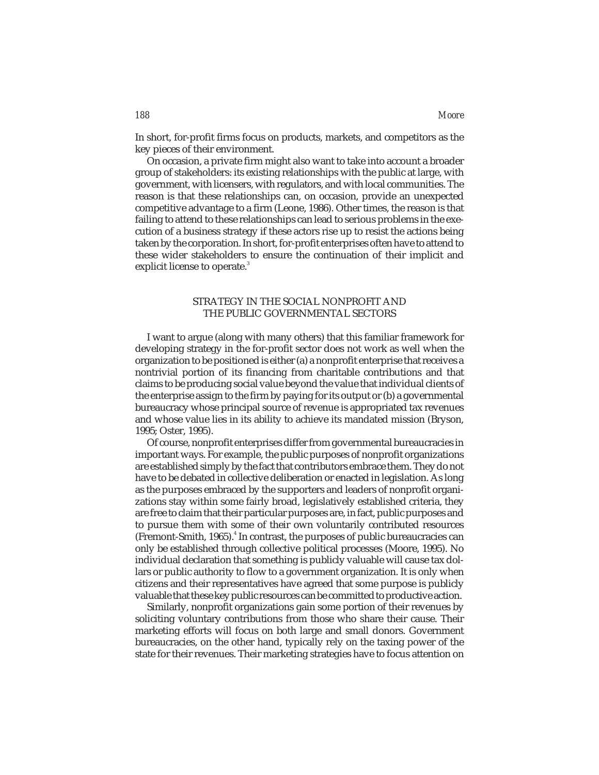In short, for-profit firms focus on products, markets, and competitors as the key pieces of their environment.

On occasion, a private firm might also want to take into account a broader group of stakeholders: its existing relationships with the public at large, with government, with licensers, with regulators, and with local communities. The reason is that these relationships can, on occasion, provide an unexpected competitive advantage to a firm (Leone, 1986). Other times, the reason is that failing to attend to these relationships can lead to serious problems in the execution of a business strategy if these actors rise up to resist the actions being taken by the corporation. In short, for-profit enterprises often have to attend to these wider stakeholders to ensure the continuation of their implicit and explicit license to operate.<sup>3</sup>

# STRATEGY IN THE SOCIAL NONPROFIT AND THE PUBLIC GOVERNMENTAL SECTORS

I want to argue (along with many others) that this familiar framework for developing strategy in the for-profit sector does not work as well when the organization to be positioned is either (a) a nonprofit enterprise that receives a nontrivial portion of its financing from charitable contributions and that claims to be producing social value beyond the value that individual clients of the enterprise assign to the firm by paying for its output or (b) a governmental bureaucracy whose principal source of revenue is appropriated tax revenues and whose value lies in its ability to achieve its mandated mission (Bryson, 1995; Oster, 1995).

Of course, nonprofit enterprises differ from governmental bureaucracies in important ways. For example, the public purposes of nonprofit organizations are established simply by the fact that contributors embrace them. They do not have to be debated in collective deliberation or enacted in legislation. As long as the purposes embraced by the supporters and leaders of nonprofit organizations stay within some fairly broad, legislatively established criteria, they are free to claim that their particular purposes are, in fact, public purposes and to pursue them with some of their own voluntarily contributed resources (Fremont-Smith, 1965).<sup>4</sup> In contrast, the purposes of public bureaucracies can only be established through collective political processes (Moore, 1995). No individual declaration that something is publicly valuable will cause tax dollars or public authority to flow to a government organization. It is only when citizens and their representatives have agreed that some purpose is publicly valuable that these key public resources can be committed to productive action.

Similarly, nonprofit organizations gain some portion of their revenues by soliciting voluntary contributions from those who share their cause. Their marketing efforts will focus on both large and small donors. Government bureaucracies, on the other hand, typically rely on the taxing power of the state for their revenues. Their marketing strategies have to focus attention on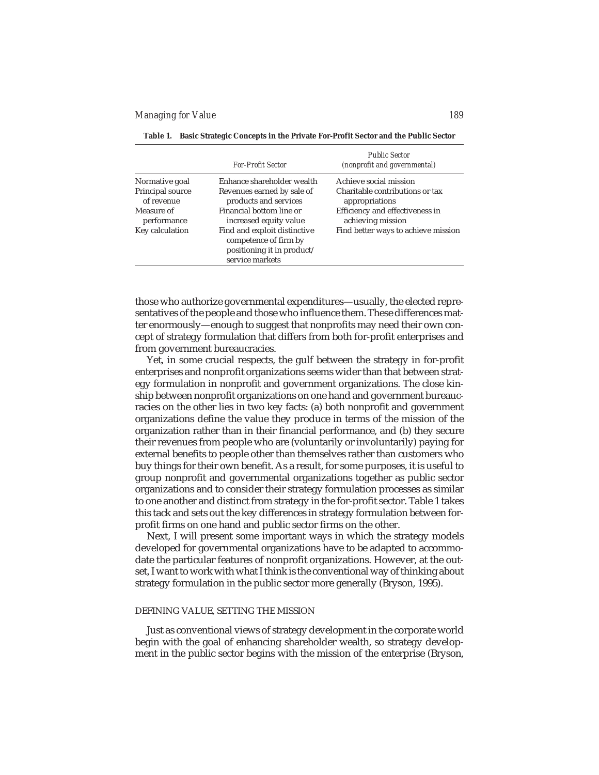|                                | <b>For-Profit Sector</b>                                                                               | <b>Public Sector</b><br>(nonprofit and governmental) |
|--------------------------------|--------------------------------------------------------------------------------------------------------|------------------------------------------------------|
| Normative goal                 | Enhance shareholder wealth                                                                             | Achieve social mission                               |
| Principal source<br>of revenue | Revenues earned by sale of<br>products and services                                                    | Charitable contributions or tax<br>appropriations    |
| Measure of<br>performance      | Financial bottom line or<br>increased equity value                                                     | Efficiency and effectiveness in<br>achieving mission |
| Key calculation                | Find and exploit distinctive<br>competence of firm by<br>positioning it in product/<br>service markets | Find better ways to achieve mission                  |

**Table 1. Basic Strategic Concepts in the Private For-Profit Sector and the Public Sector**

those who authorize governmental expenditures—usually, the elected representatives of the people and those who influence them. These differences matter enormously—enough to suggest that nonprofits may need their own concept of strategy formulation that differs from both for-profit enterprises and from government bureaucracies.

Yet, in some crucial respects, the gulf between the strategy in for-profit enterprises and nonprofit organizations seems wider than that between strategy formulation in nonprofit and government organizations. The close kinship between nonprofit organizations on one hand and government bureaucracies on the other lies in two key facts: (a) both nonprofit and government organizations define the value they produce in terms of the mission of the organization rather than in their financial performance, and (b) they secure their revenues from people who are (voluntarily or involuntarily) paying for external benefits to people other than themselves rather than customers who buy things for their own benefit. As a result, for some purposes, it is useful to group nonprofit and governmental organizations together as public sector organizations and to consider their strategy formulation processes as similar to one another and distinct from strategy in the for-profit sector. Table 1 takes this tack and sets out the key differences in strategy formulation between forprofit firms on one hand and public sector firms on the other.

Next, I will present some important ways in which the strategy models developed for governmental organizations have to be adapted to accommodate the particular features of nonprofit organizations. However, at the outset, I want to work with what I think is the conventional way of thinking about strategy formulation in the public sector more generally (Bryson, 1995).

# DEFINING VALUE, SETTING THE MISSION

Just as conventional views of strategy development in the corporate world begin with the goal of enhancing shareholder wealth, so strategy development in the public sector begins with the mission of the enterprise (Bryson,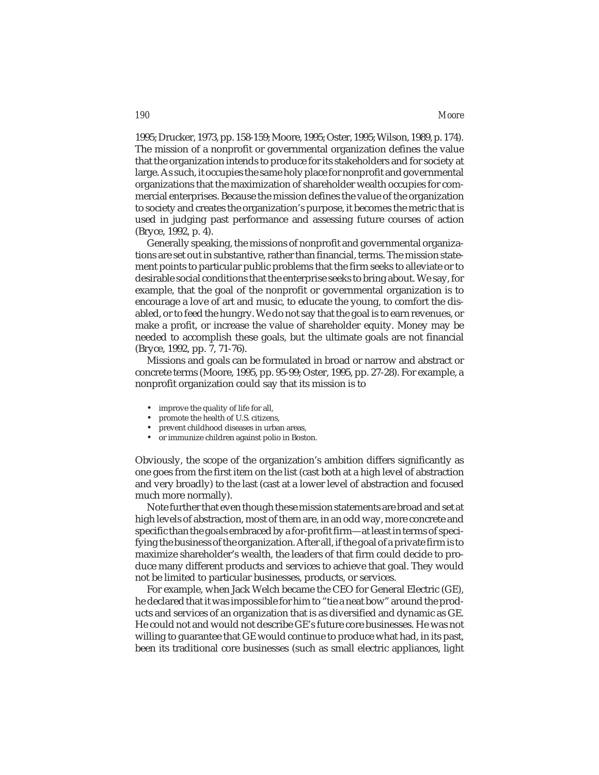### *190 Moore*

1995; Drucker, 1973, pp. 158-159; Moore, 1995; Oster, 1995; Wilson, 1989, p. 174). The mission of a nonprofit or governmental organization defines the value that the organization intends to produce for its stakeholders and for society at large. As such, it occupies the same holy place for nonprofit and governmental organizations that the maximization of shareholder wealth occupies for commercial enterprises. Because the mission defines the value of the organization to society and creates the organization's purpose, it becomes the metric that is used in judging past performance and assessing future courses of action (Bryce, 1992, p. 4).

Generally speaking, the missions of nonprofit and governmental organizations are set out in substantive, rather than financial, terms. The mission statement points to particular public problems that the firm seeks to alleviate or to desirable social conditions that the enterprise seeks to bring about. We say, for example, that the goal of the nonprofit or governmental organization is to encourage a love of art and music, to educate the young, to comfort the disabled, or to feed the hungry. We do not say that the goal is to earn revenues, or make a profit, or increase the value of shareholder equity. Money may be needed to accomplish these goals, but the ultimate goals are not financial (Bryce, 1992, pp. 7, 71-76).

Missions and goals can be formulated in broad or narrow and abstract or concrete terms (Moore, 1995, pp. 95-99; Oster, 1995, pp. 27-28). For example, a nonprofit organization could say that its mission is to

- improve the quality of life for all,
- promote the health of U.S. citizens,
- prevent childhood diseases in urban areas,
- or immunize children against polio in Boston.

Obviously, the scope of the organization's ambition differs significantly as one goes from the first item on the list (cast both at a high level of abstraction and very broadly) to the last (cast at a lower level of abstraction and focused much more normally).

Note further that even though these mission statements are broad and set at high levels of abstraction, most of them are, in an odd way, more concrete and specific than the goals embraced by a for-profit firm—at least in terms of specifying the business of the organization. After all, if the goal of a private firm is to maximize shareholder's wealth, the leaders of that firm could decide to produce many different products and services to achieve that goal. They would not be limited to particular businesses, products, or services.

For example, when Jack Welch became the CEO for General Electric (GE), he declared that it was impossible for him to "tie a neat bow" around the products and services of an organization that is as diversified and dynamic as GE. He could not and would not describe GE's future core businesses. He was not willing to guarantee that GE would continue to produce what had, in its past, been its traditional core businesses (such as small electric appliances, light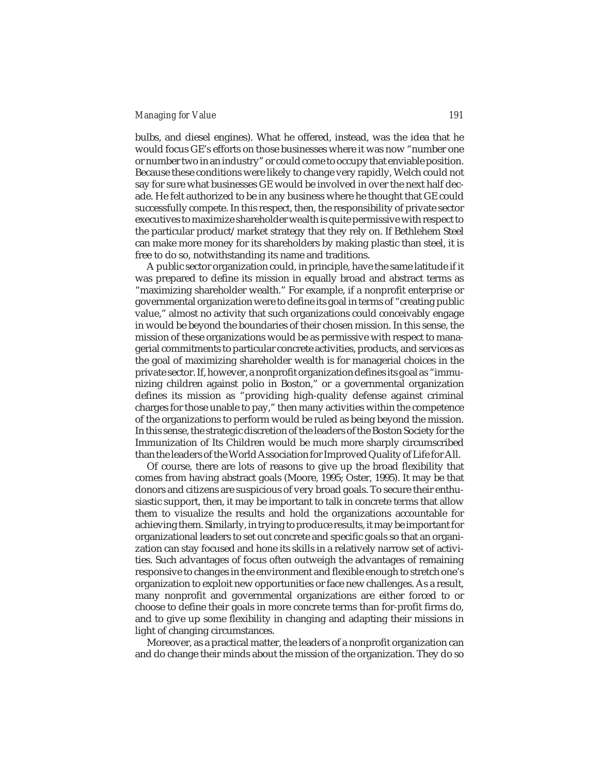bulbs, and diesel engines). What he offered, instead, was the idea that he would focus GE's efforts on those businesses where it was now "number one or number two in an industry" or could come to occupy that enviable position. Because these conditions were likely to change very rapidly, Welch could not say for sure what businesses GE would be involved in over the next half decade. He felt authorized to be in any business where he thought that GE could successfully compete. In this respect, then, the responsibility of private sector executives to maximize shareholder wealth is quite permissive with respect to the particular product/market strategy that they rely on. If Bethlehem Steel can make more money for its shareholders by making plastic than steel, it is free to do so, notwithstanding its name and traditions.

A public sector organization could, in principle, have the same latitude if it was prepared to define its mission in equally broad and abstract terms as "maximizing shareholder wealth." For example, if a nonprofit enterprise or governmental organization were to define its goal in terms of "creating public value," almost no activity that such organizations could conceivably engage in would be beyond the boundaries of their chosen mission. In this sense, the mission of these organizations would be as permissive with respect to managerial commitments to particular concrete activities, products, and services as the goal of maximizing shareholder wealth is for managerial choices in the private sector. If, however, a nonprofit organization defines its goal as "immunizing children against polio in Boston," or a governmental organization defines its mission as "providing high-quality defense against criminal charges for those unable to pay," then many activities within the competence of the organizations to perform would be ruled as being beyond the mission. In this sense, the strategic discretion of the leaders of the Boston Society for the Immunization of Its Children would be much more sharply circumscribed than the leaders of the World Association for Improved Quality of Life for All.

Of course, there are lots of reasons to give up the broad flexibility that comes from having abstract goals (Moore, 1995; Oster, 1995). It may be that donors and citizens are suspicious of very broad goals. To secure their enthusiastic support, then, it may be important to talk in concrete terms that allow them to visualize the results and hold the organizations accountable for achieving them. Similarly, in trying to produce results, it may be important for organizational leaders to set out concrete and specific goals so that an organization can stay focused and hone its skills in a relatively narrow set of activities. Such advantages of focus often outweigh the advantages of remaining responsive to changes in the environment and flexible enough to stretch one's organization to exploit new opportunities or face new challenges. As a result, many nonprofit and governmental organizations are either forced to or choose to define their goals in more concrete terms than for-profit firms do, and to give up some flexibility in changing and adapting their missions in light of changing circumstances.

Moreover, as a practical matter, the leaders of a nonprofit organization can and do change their minds about the mission of the organization. They do so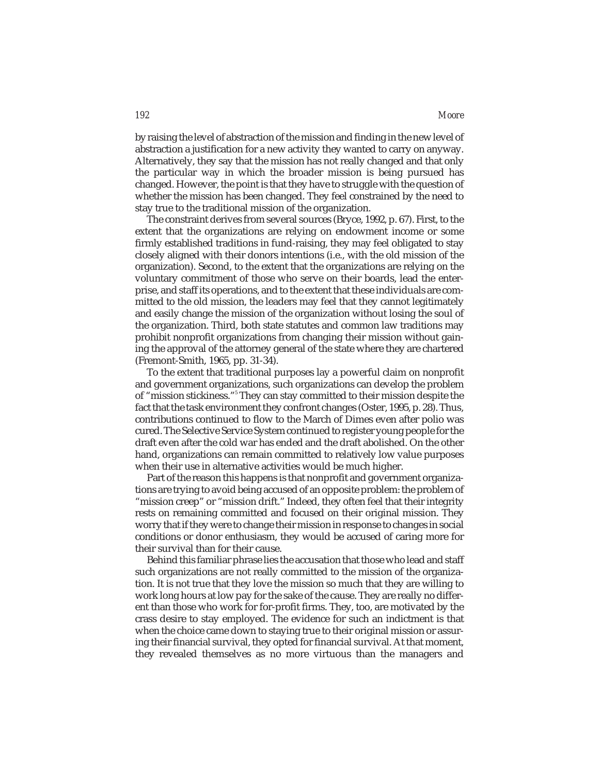by raising the level of abstraction of the mission and finding in the new level of abstraction a justification for a new activity they wanted to carry on anyway. Alternatively, they say that the mission has not really changed and that only the particular way in which the broader mission is being pursued has changed. However, the point is that they have to struggle with the question of whether the mission has been changed. They feel constrained by the need to stay true to the traditional mission of the organization.

The constraint derives from several sources (Bryce, 1992, p. 67). First, to the extent that the organizations are relying on endowment income or some firmly established traditions in fund-raising, they may feel obligated to stay closely aligned with their donors intentions (i.e., with the old mission of the organization). Second, to the extent that the organizations are relying on the voluntary commitment of those who serve on their boards, lead the enterprise, and staff its operations, and to the extent that these individuals are committed to the old mission, the leaders may feel that they cannot legitimately and easily change the mission of the organization without losing the soul of the organization. Third, both state statutes and common law traditions may prohibit nonprofit organizations from changing their mission without gaining the approval of the attorney general of the state where they are chartered (Fremont-Smith, 1965, pp. 31-34).

To the extent that traditional purposes lay a powerful claim on nonprofit and government organizations, such organizations can develop the problem of "mission stickiness."<sup>5</sup> They can stay committed to their mission despite the fact that the task environment they confront changes (Oster, 1995, p. 28). Thus, contributions continued to flow to the March of Dimes even after polio was cured. The Selective Service System continued to register young people for the draft even after the cold war has ended and the draft abolished. On the other hand, organizations can remain committed to relatively low value purposes when their use in alternative activities would be much higher.

Part of the reason this happens is that nonprofit and government organizations are trying to avoid being accused of an opposite problem: the problem of "mission creep" or "mission drift." Indeed, they often feel that their integrity rests on remaining committed and focused on their original mission. They worry that if they were to change their mission in response to changes in social conditions or donor enthusiasm, they would be accused of caring more for their survival than for their cause.

Behind this familiar phrase lies the accusation that those who lead and staff such organizations are not really committed to the mission of the organization. It is not true that they love the mission so much that they are willing to work long hours at low pay for the sake of the cause. They are really no different than those who work for for-profit firms. They, too, are motivated by the crass desire to stay employed. The evidence for such an indictment is that when the choice came down to staying true to their original mission or assuring their financial survival, they opted for financial survival. At that moment, they revealed themselves as no more virtuous than the managers and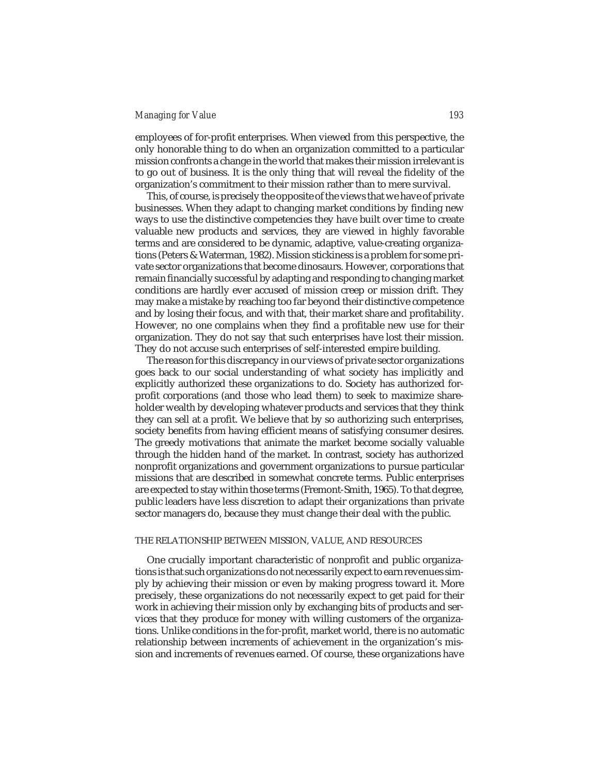employees of for-profit enterprises. When viewed from this perspective, the only honorable thing to do when an organization committed to a particular mission confronts a change in the world that makes their mission irrelevant is to go out of business. It is the only thing that will reveal the fidelity of the organization's commitment to their mission rather than to mere survival.

This, of course, is precisely the opposite of the views that we have of private businesses. When they adapt to changing market conditions by finding new ways to use the distinctive competencies they have built over time to create valuable new products and services, they are viewed in highly favorable terms and are considered to be dynamic, adaptive, value-creating organizations (Peters & Waterman, 1982). Mission stickiness is a problem for some private sector organizations that become dinosaurs. However, corporations that remain financially successful by adapting and responding to changing market conditions are hardly ever accused of mission creep or mission drift. They may make a mistake by reaching too far beyond their distinctive competence and by losing their focus, and with that, their market share and profitability. However, no one complains when they find a profitable new use for their organization. They do not say that such enterprises have lost their mission. They do not accuse such enterprises of self-interested empire building.

The reason for this discrepancy in our views of private sector organizations goes back to our social understanding of what society has implicitly and explicitly authorized these organizations to do. Society has authorized forprofit corporations (and those who lead them) to seek to maximize shareholder wealth by developing whatever products and services that they think they can sell at a profit. We believe that by so authorizing such enterprises, society benefits from having efficient means of satisfying consumer desires. The greedy motivations that animate the market become socially valuable through the hidden hand of the market. In contrast, society has authorized nonprofit organizations and government organizations to pursue particular missions that are described in somewhat concrete terms. Public enterprises are expected to stay within those terms (Fremont-Smith, 1965). To that degree, public leaders have less discretion to adapt their organizations than private sector managers do, because they must change their deal with the public.

# THE RELATIONSHIP BETWEEN MISSION, VALUE, AND RESOURCES

One crucially important characteristic of nonprofit and public organizations is that such organizations do not necessarily expect to earn revenues simply by achieving their mission or even by making progress toward it. More precisely, these organizations do not necessarily expect to get paid for their work in achieving their mission only by exchanging bits of products and services that they produce for money with willing customers of the organizations. Unlike conditions in the for-profit, market world, there is no automatic relationship between increments of achievement in the organization's mission and increments of revenues earned. Of course, these organizations have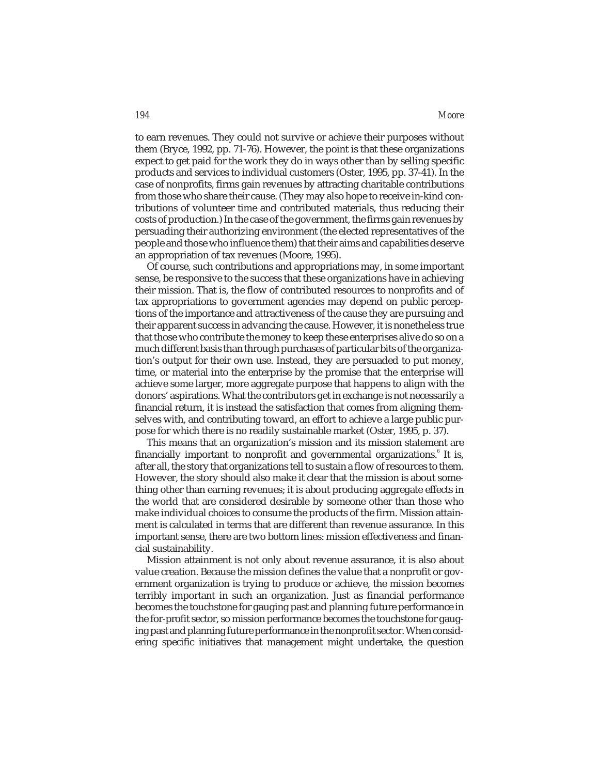### *194 Moore*

to earn revenues. They could not survive or achieve their purposes without them (Bryce, 1992, pp. 71-76). However, the point is that these organizations expect to get paid for the work they do in ways other than by selling specific products and services to individual customers (Oster, 1995, pp. 37-41). In the case of nonprofits, firms gain revenues by attracting charitable contributions from those who share their cause. (They may also hope to receive in-kind contributions of volunteer time and contributed materials, thus reducing their costs of production.) In the case of the government, the firms gain revenues by persuading their authorizing environment (the elected representatives of the people and those who influence them) that their aims and capabilities deserve an appropriation of tax revenues (Moore, 1995).

Of course, such contributions and appropriations may, in some important sense, be responsive to the success that these organizations have in achieving their mission. That is, the flow of contributed resources to nonprofits and of tax appropriations to government agencies may depend on public perceptions of the importance and attractiveness of the cause they are pursuing and their apparent success in advancing the cause. However, it is nonetheless true that those who contribute the money to keep these enterprises alive do so on a much different basis than through purchases of particular bits of the organization's output for their own use. Instead, they are persuaded to put money, time, or material into the enterprise by the promise that the enterprise will achieve some larger, more aggregate purpose that happens to align with the donors' aspirations. What the contributors get in exchange is not necessarily a financial return, it is instead the satisfaction that comes from aligning themselves with, and contributing toward, an effort to achieve a large public purpose for which there is no readily sustainable market (Oster, 1995, p. 37).

This means that an organization's mission and its mission statement are financially important to nonprofit and governmental organizations.<sup>8</sup> It is, after all, the story that organizations tell to sustain a flow of resources to them. However, the story should also make it clear that the mission is about something other than earning revenues; it is about producing aggregate effects in the world that are considered desirable by someone other than those who make individual choices to consume the products of the firm. Mission attainment is calculated in terms that are different than revenue assurance. In this important sense, there are two bottom lines: mission effectiveness and financial sustainability.

Mission attainment is not only about revenue assurance, it is also about value creation. Because the mission defines the value that a nonprofit or government organization is trying to produce or achieve, the mission becomes terribly important in such an organization. Just as financial performance becomes the touchstone for gauging past and planning future performance in the for-profit sector, so mission performance becomes the touchstone for gauging past and planning future performance in the nonprofit sector. When considering specific initiatives that management might undertake, the question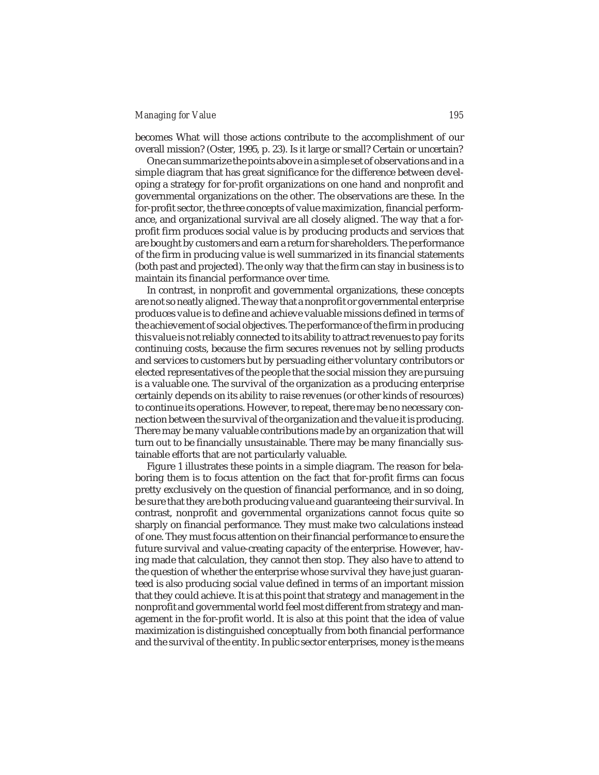becomes What will those actions contribute to the accomplishment of our overall mission? (Oster, 1995, p. 23). Is it large or small? Certain or uncertain?

One can summarize the points above in a simple set of observations and in a simple diagram that has great significance for the difference between developing a strategy for for-profit organizations on one hand and nonprofit and governmental organizations on the other. The observations are these. In the for-profit sector, the three concepts of value maximization, financial performance, and organizational survival are all closely aligned. The way that a forprofit firm produces social value is by producing products and services that are bought by customers and earn a return for shareholders. The performance of the firm in producing value is well summarized in its financial statements (both past and projected). The only way that the firm can stay in business is to maintain its financial performance over time.

In contrast, in nonprofit and governmental organizations, these concepts are not so neatly aligned. The way that a nonprofit or governmental enterprise produces value is to define and achieve valuable missions defined in terms of the achievement of social objectives. The performance of the firm in producing this value is not reliably connected to its ability to attract revenues to pay for its continuing costs, because the firm secures revenues not by selling products and services to customers but by persuading either voluntary contributors or elected representatives of the people that the social mission they are pursuing is a valuable one. The survival of the organization as a producing enterprise certainly depends on its ability to raise revenues (or other kinds of resources) to continue its operations. However, to repeat, there may be no necessary connection between the survival of the organization and the value it is producing. There may be many valuable contributions made by an organization that will turn out to be financially unsustainable. There may be many financially sustainable efforts that are not particularly valuable.

Figure 1 illustrates these points in a simple diagram. The reason for belaboring them is to focus attention on the fact that for-profit firms can focus pretty exclusively on the question of financial performance, and in so doing, be sure that they are both producing value and guaranteeing their survival. In contrast, nonprofit and governmental organizations cannot focus quite so sharply on financial performance. They must make two calculations instead of one. They must focus attention on their financial performance to ensure the future survival and value-creating capacity of the enterprise. However, having made that calculation, they cannot then stop. They also have to attend to the question of whether the enterprise whose survival they have just guaranteed is also producing social value defined in terms of an important mission that they could achieve. It is at this point that strategy and management in the nonprofit and governmental world feel most different from strategy and management in the for-profit world. It is also at this point that the idea of value maximization is distinguished conceptually from both financial performance and the survival of the entity. In public sector enterprises, money is the means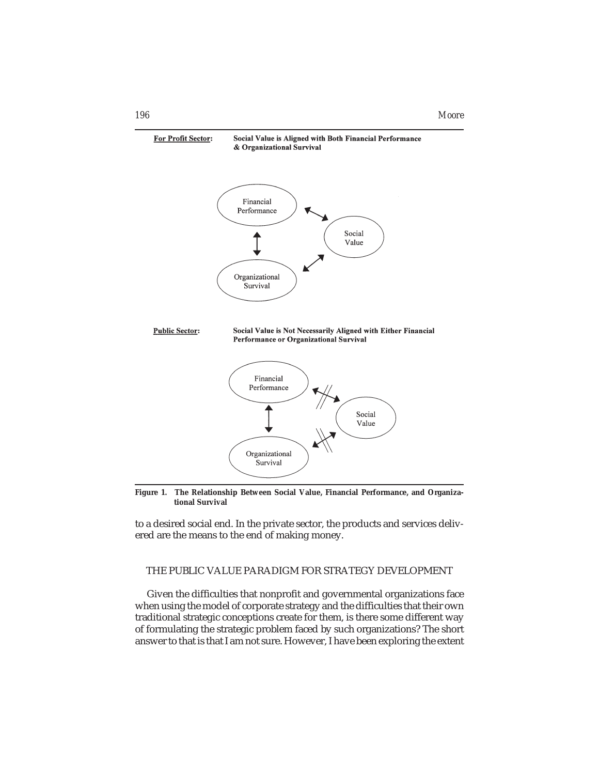

**Figure 1. The Relationship Between Social Value, Financial Performance, and Organizational Survival**

Organizational Survival

to a desired social end. In the private sector, the products and services delivered are the means to the end of making money.

# THE PUBLIC VALUE PARADIGM FOR STRATEGY DEVELOPMENT

Given the difficulties that nonprofit and governmental organizations face when using the model of corporate strategy and the difficulties that their own traditional strategic conceptions create for them, is there some different way of formulating the strategic problem faced by such organizations? The short answer to that is that I am not sure. However, I have been exploring the extent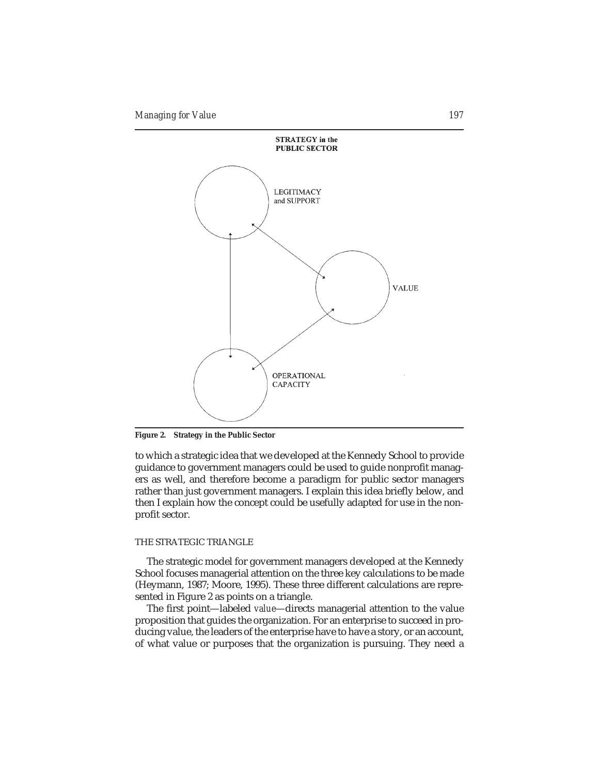

**Figure 2. Strategy in the Public Sector**

to which a strategic idea that we developed at the Kennedy School to provide guidance to government managers could be used to guide nonprofit managers as well, and therefore become a paradigm for public sector managers rather than just government managers. I explain this idea briefly below, and then I explain how the concept could be usefully adapted for use in the nonprofit sector.

#### THE STRATEGIC TRIANGLE

The strategic model for government managers developed at the Kennedy School focuses managerial attention on the three key calculations to be made (Heymann, 1987; Moore, 1995). These three different calculations are represented in Figure 2 as points on a triangle.

The first point—labeled *value*—directs managerial attention to the value proposition that guides the organization. For an enterprise to succeed in producing value, the leaders of the enterprise have to have a story, or an account, of what value or purposes that the organization is pursuing. They need a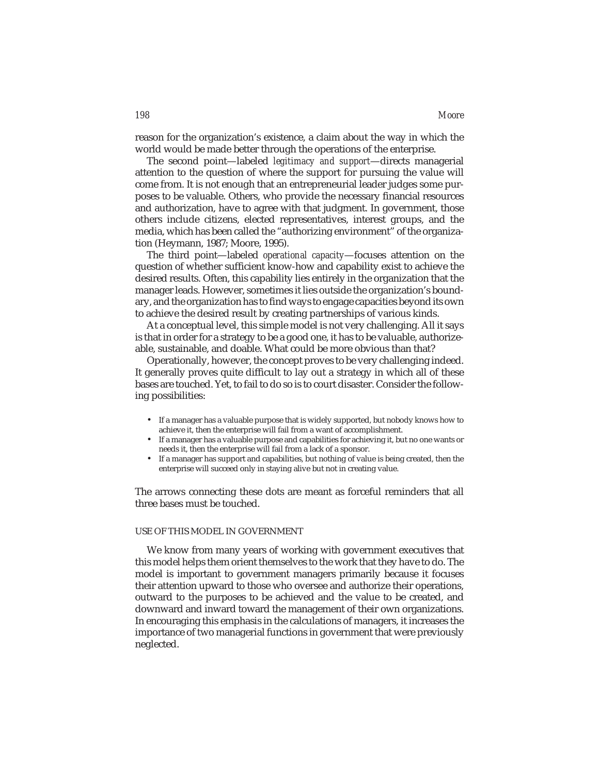reason for the organization's existence, a claim about the way in which the world would be made better through the operations of the enterprise.

The second point—labeled *legitimacy and support*—directs managerial attention to the question of where the support for pursuing the value will come from. It is not enough that an entrepreneurial leader judges some purposes to be valuable. Others, who provide the necessary financial resources and authorization, have to agree with that judgment. In government, those others include citizens, elected representatives, interest groups, and the media, which has been called the "authorizing environment" of the organization (Heymann, 1987; Moore, 1995).

The third point—labeled *operational capacity*—focuses attention on the question of whether sufficient know-how and capability exist to achieve the desired results. Often, this capability lies entirely in the organization that the manager leads. However, sometimes it lies outside the organization's boundary, and the organization has to find ways to engage capacities beyond its own to achieve the desired result by creating partnerships of various kinds.

At a conceptual level, this simple model is not very challenging. All it says is that in order for a strategy to be a good one, it has to be valuable, authorizeable, sustainable, and doable. What could be more obvious than that?

Operationally, however, the concept proves to be very challenging indeed. It generally proves quite difficult to lay out a strategy in which all of these bases are touched. Yet, to fail to do so is to court disaster. Consider the following possibilities:

- If a manager has a valuable purpose that is widely supported, but nobody knows how to achieve it, then the enterprise will fail from a want of accomplishment.
- If a manager has a valuable purpose and capabilities for achieving it, but no one wants or needs it, then the enterprise will fail from a lack of a sponsor.
- If a manager has support and capabilities, but nothing of value is being created, then the enterprise will succeed only in staying alive but not in creating value.

The arrows connecting these dots are meant as forceful reminders that all three bases must be touched.

#### USE OF THIS MODEL IN GOVERNMENT

We know from many years of working with government executives that this model helps them orient themselves to the work that they have to do. The model is important to government managers primarily because it focuses their attention upward to those who oversee and authorize their operations, outward to the purposes to be achieved and the value to be created, and downward and inward toward the management of their own organizations. In encouraging this emphasis in the calculations of managers, it increases the importance of two managerial functions in government that were previously neglected.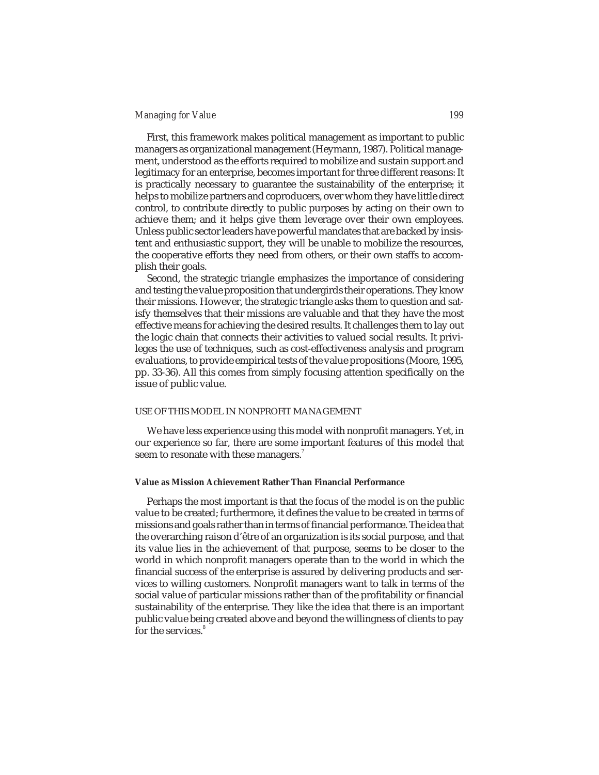First, this framework makes political management as important to public managers as organizational management (Heymann, 1987). Political management, understood as the efforts required to mobilize and sustain support and legitimacy for an enterprise, becomes important for three different reasons: It is practically necessary to guarantee the sustainability of the enterprise; it helps to mobilize partners and coproducers, over whom they have little direct control, to contribute directly to public purposes by acting on their own to achieve them; and it helps give them leverage over their own employees. Unless public sector leaders have powerful mandates that are backed by insistent and enthusiastic support, they will be unable to mobilize the resources, the cooperative efforts they need from others, or their own staffs to accomplish their goals.

Second, the strategic triangle emphasizes the importance of considering and testing the value proposition that undergirds their operations. They know their missions. However, the strategic triangle asks them to question and satisfy themselves that their missions are valuable and that they have the most effective means for achieving the desired results. It challenges them to lay out the logic chain that connects their activities to valued social results. It privileges the use of techniques, such as cost-effectiveness analysis and program evaluations, to provide empirical tests of the value propositions (Moore, 1995, pp. 33-36). All this comes from simply focusing attention specifically on the issue of public value.

# USE OF THIS MODEL IN NONPROFIT MANAGEMENT

We have less experience using this model with nonprofit managers. Yet, in our experience so far, there are some important features of this model that seem to resonate with these managers.<sup>7</sup>

### **Value as Mission Achievement Rather Than Financial Performance**

Perhaps the most important is that the focus of the model is on the public value to be created; furthermore, it defines the value to be created in terms of missions and goals rather than in terms of financial performance. The idea that the overarching raison d'être of an organization is its social purpose, and that its value lies in the achievement of that purpose, seems to be closer to the world in which nonprofit managers operate than to the world in which the financial success of the enterprise is assured by delivering products and services to willing customers. Nonprofit managers want to talk in terms of the social value of particular missions rather than of the profitability or financial sustainability of the enterprise. They like the idea that there is an important public value being created above and beyond the willingness of clients to pay for the services.<sup>8</sup>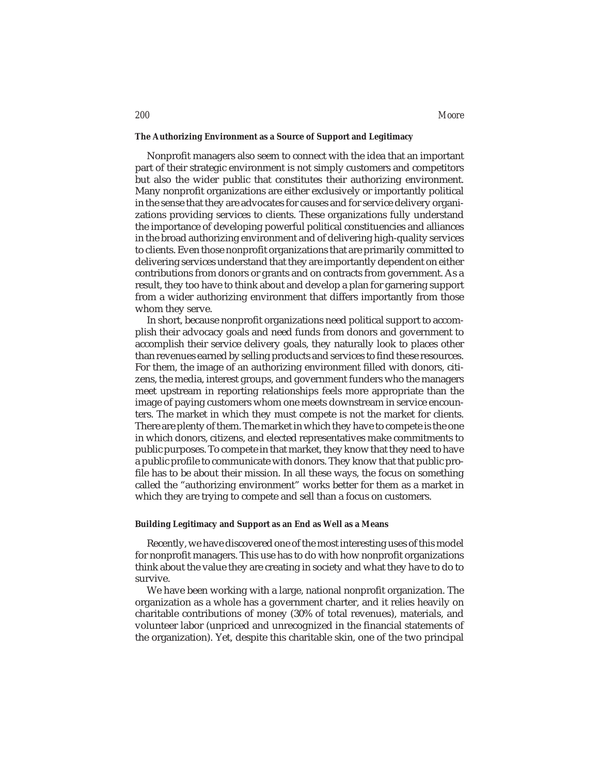#### **The Authorizing Environment as a Source of Support and Legitimacy**

Nonprofit managers also seem to connect with the idea that an important part of their strategic environment is not simply customers and competitors but also the wider public that constitutes their authorizing environment. Many nonprofit organizations are either exclusively or importantly political in the sense that they are advocates for causes and for service delivery organizations providing services to clients. These organizations fully understand the importance of developing powerful political constituencies and alliances in the broad authorizing environment and of delivering high-quality services to clients. Even those nonprofit organizations that are primarily committed to delivering services understand that they are importantly dependent on either contributions from donors or grants and on contracts from government. As a result, they too have to think about and develop a plan for garnering support from a wider authorizing environment that differs importantly from those whom they serve.

In short, because nonprofit organizations need political support to accomplish their advocacy goals and need funds from donors and government to accomplish their service delivery goals, they naturally look to places other than revenues earned by selling products and services to find these resources. For them, the image of an authorizing environment filled with donors, citizens, the media, interest groups, and government funders who the managers meet upstream in reporting relationships feels more appropriate than the image of paying customers whom one meets downstream in service encounters. The market in which they must compete is not the market for clients. There are plenty of them. The market in which they have to compete is the one in which donors, citizens, and elected representatives make commitments to public purposes. To compete in that market, they know that they need to have a public profile to communicate with donors. They know that that public profile has to be about their mission. In all these ways, the focus on something called the "authorizing environment" works better for them as a market in which they are trying to compete and sell than a focus on customers.

#### **Building Legitimacy and Support as an End as Well as a Means**

Recently, we have discovered one of the most interesting uses of this model for nonprofit managers. This use has to do with how nonprofit organizations think about the value they are creating in society and what they have to do to survive.

We have been working with a large, national nonprofit organization. The organization as a whole has a government charter, and it relies heavily on charitable contributions of money (30% of total revenues), materials, and volunteer labor (unpriced and unrecognized in the financial statements of the organization). Yet, despite this charitable skin, one of the two principal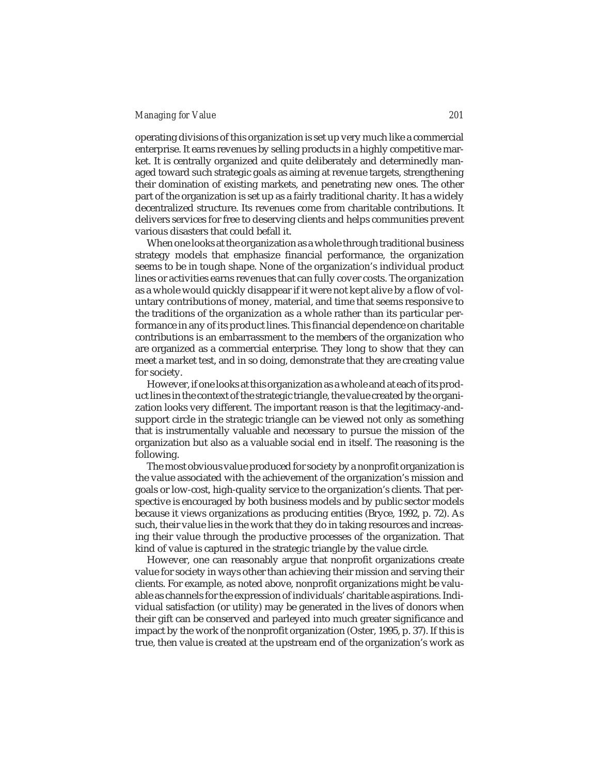operating divisions of this organization is set up very much like a commercial enterprise. It earns revenues by selling products in a highly competitive market. It is centrally organized and quite deliberately and determinedly managed toward such strategic goals as aiming at revenue targets, strengthening their domination of existing markets, and penetrating new ones. The other part of the organization is set up as a fairly traditional charity. It has a widely decentralized structure. Its revenues come from charitable contributions. It delivers services for free to deserving clients and helps communities prevent various disasters that could befall it.

When one looks at the organization as a whole through traditional business strategy models that emphasize financial performance, the organization seems to be in tough shape. None of the organization's individual product lines or activities earns revenues that can fully cover costs. The organization as a whole would quickly disappear if it were not kept alive by a flow of voluntary contributions of money, material, and time that seems responsive to the traditions of the organization as a whole rather than its particular performance in any of its product lines. This financial dependence on charitable contributions is an embarrassment to the members of the organization who are organized as a commercial enterprise. They long to show that they can meet a market test, and in so doing, demonstrate that they are creating value for society.

However, if one looks at this organization as a whole and at each of its product lines in the context of the strategic triangle, the value created by the organization looks very different. The important reason is that the legitimacy-andsupport circle in the strategic triangle can be viewed not only as something that is instrumentally valuable and necessary to pursue the mission of the organization but also as a valuable social end in itself. The reasoning is the following.

The most obvious value produced for society by a nonprofit organization is the value associated with the achievement of the organization's mission and goals or low-cost, high-quality service to the organization's clients. That perspective is encouraged by both business models and by public sector models because it views organizations as producing entities (Bryce, 1992, p. 72). As such, their value lies in the work that they do in taking resources and increasing their value through the productive processes of the organization. That kind of value is captured in the strategic triangle by the value circle.

However, one can reasonably argue that nonprofit organizations create value for society in ways other than achieving their mission and serving their clients. For example, as noted above, nonprofit organizations might be valuable as channels for the expression of individuals' charitable aspirations. Individual satisfaction (or utility) may be generated in the lives of donors when their gift can be conserved and parleyed into much greater significance and impact by the work of the nonprofit organization (Oster, 1995, p. 37). If this is true, then value is created at the upstream end of the organization's work as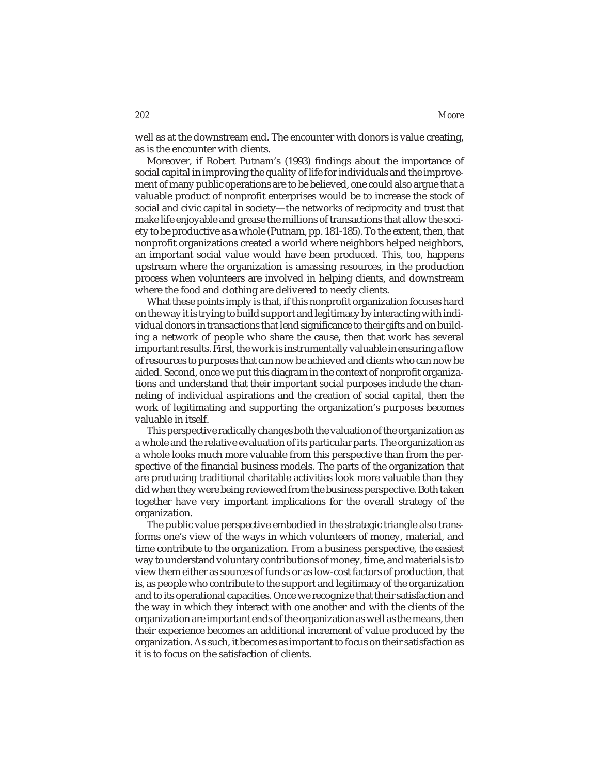well as at the downstream end. The encounter with donors is value creating, as is the encounter with clients.

Moreover, if Robert Putnam's (1993) findings about the importance of social capital in improving the quality of life for individuals and the improvement of many public operations are to be believed, one could also argue that a valuable product of nonprofit enterprises would be to increase the stock of social and civic capital in society—the networks of reciprocity and trust that make life enjoyable and grease the millions of transactions that allow the society to be productive as a whole (Putnam, pp. 181-185). To the extent, then, that nonprofit organizations created a world where neighbors helped neighbors, an important social value would have been produced. This, too, happens upstream where the organization is amassing resources, in the production process when volunteers are involved in helping clients, and downstream where the food and clothing are delivered to needy clients.

What these points imply is that, if this nonprofit organization focuses hard on the way it is trying to build support and legitimacy by interacting with individual donors in transactions that lend significance to their gifts and on building a network of people who share the cause, then that work has several important results. First, the work is instrumentally valuable in ensuring a flow of resources to purposes that can now be achieved and clients who can now be aided. Second, once we put this diagram in the context of nonprofit organizations and understand that their important social purposes include the channeling of individual aspirations and the creation of social capital, then the work of legitimating and supporting the organization's purposes becomes valuable in itself.

This perspective radically changes both the valuation of the organization as a whole and the relative evaluation of its particular parts. The organization as a whole looks much more valuable from this perspective than from the perspective of the financial business models. The parts of the organization that are producing traditional charitable activities look more valuable than they did when they were being reviewed from the business perspective. Both taken together have very important implications for the overall strategy of the organization.

The public value perspective embodied in the strategic triangle also transforms one's view of the ways in which volunteers of money, material, and time contribute to the organization. From a business perspective, the easiest way to understand voluntary contributions of money, time, and materials is to view them either as sources of funds or as low-cost factors of production, that is, as people who contribute to the support and legitimacy of the organization and to its operational capacities. Once we recognize that their satisfaction and the way in which they interact with one another and with the clients of the organization are important ends of the organization as well as the means, then their experience becomes an additional increment of value produced by the organization. As such, it becomes as important to focus on their satisfaction as it is to focus on the satisfaction of clients.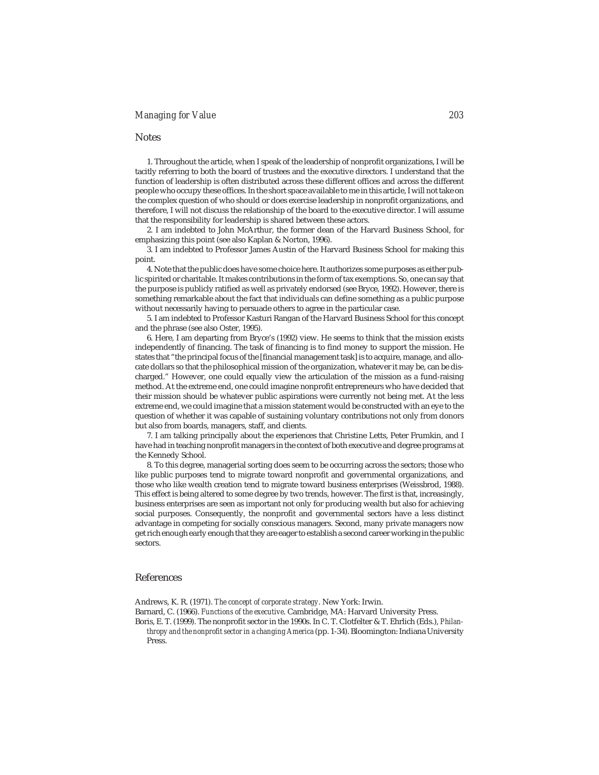### **Notes**

1. Throughout the article, when I speak of the leadership of nonprofit organizations, I will be tacitly referring to both the board of trustees and the executive directors. I understand that the function of leadership is often distributed across these different offices and across the different people who occupy these offices. In the short space available to me in this article, I will not take on the complex question of who should or does exercise leadership in nonprofit organizations, and therefore, I will not discuss the relationship of the board to the executive director. I will assume that the responsibility for leadership is shared between these actors.

2. I am indebted to John McArthur, the former dean of the Harvard Business School, for emphasizing this point (see also Kaplan & Norton, 1996).

3. I am indebted to Professor James Austin of the Harvard Business School for making this point.

4. Note that the public does have some choice here. It authorizes some purposes as either public spirited or charitable. It makes contributions in the form of tax exemptions. So, one can say that the purpose is publicly ratified as well as privately endorsed (see Bryce, 1992). However, there is something remarkable about the fact that individuals can define something as a public purpose without necessarily having to persuade others to agree in the particular case.

5. I am indebted to Professor Kasturi Rangan of the Harvard Business School for this concept and the phrase (see also Oster, 1995).

6. Here, I am departing from Bryce's (1992) view. He seems to think that the mission exists independently of financing. The task of financing is to find money to support the mission. He states that "the principal focus of the [financial management task] is to acquire, manage, and allocate dollars so that the philosophical mission of the organization, whatever it may be, can be discharged." However, one could equally view the articulation of the mission as a fund-raising method. At the extreme end, one could imagine nonprofit entrepreneurs who have decided that their mission should be whatever public aspirations were currently not being met. At the less extreme end, we could imagine that a mission statement would be constructed with an eye to the question of whether it was capable of sustaining voluntary contributions not only from donors but also from boards, managers, staff, and clients.

7. I am talking principally about the experiences that Christine Letts, Peter Frumkin, and I have had in teaching nonprofit managers in the context of both executive and degree programs at the Kennedy School.

8. To this degree, managerial sorting does seem to be occurring across the sectors; those who like public purposes tend to migrate toward nonprofit and governmental organizations, and those who like wealth creation tend to migrate toward business enterprises (Weissbrod, 1988). This effect is being altered to some degree by two trends, however. The first is that, increasingly, business enterprises are seen as important not only for producing wealth but also for achieving social purposes. Consequently, the nonprofit and governmental sectors have a less distinct advantage in competing for socially conscious managers. Second, many private managers now get rich enough early enough that they are eager to establish a second career working in the public sectors.

#### References

Andrews, K. R. (1971). *The concept of corporate strategy*. New York: Irwin.

Barnard, C. (1966). *Functions of the executive*. Cambridge, MA: Harvard University Press.

Boris, E. T. (1999). The nonprofit sector in the 1990s. In C. T. Clotfelter & T. Ehrlich (Eds.), *Philanthropy and the nonprofit sector in a changing America* (pp. 1-34). Bloomington: Indiana University Press.